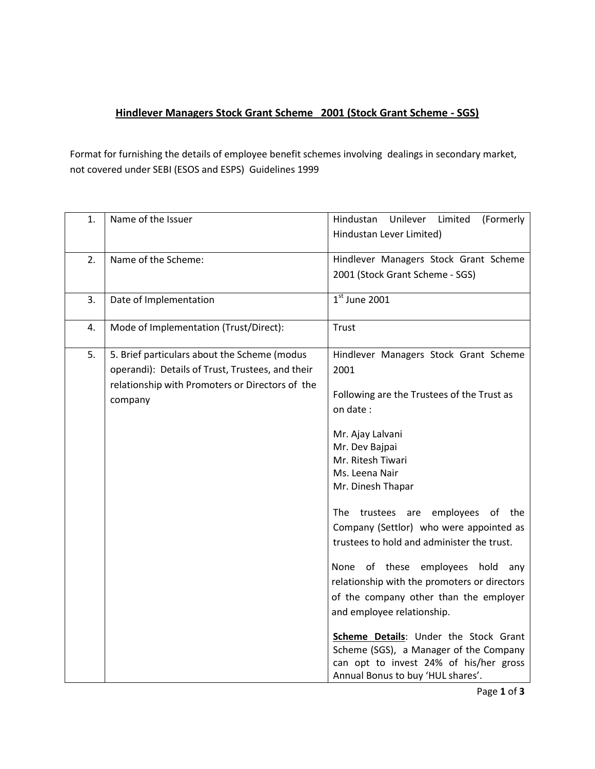## **Hindlever Managers Stock Grant Scheme 2001 (Stock Grant Scheme - SGS)**

Format for furnishing the details of employee benefit schemes involving dealings in secondary market, not covered under SEBI (ESOS and ESPS) Guidelines 1999

| 1. | Name of the Issuer                               | Hindustan<br>Unilever<br>Limited<br>(Formerly |
|----|--------------------------------------------------|-----------------------------------------------|
|    |                                                  | Hindustan Lever Limited)                      |
| 2. | Name of the Scheme:                              | Hindlever Managers Stock Grant Scheme         |
|    |                                                  | 2001 (Stock Grant Scheme - SGS)               |
| 3. | Date of Implementation                           | $1st$ June 2001                               |
| 4. | Mode of Implementation (Trust/Direct):           | <b>Trust</b>                                  |
| 5. | 5. Brief particulars about the Scheme (modus     | Hindlever Managers Stock Grant Scheme         |
|    | operandi): Details of Trust, Trustees, and their | 2001                                          |
|    | relationship with Promoters or Directors of the  | Following are the Trustees of the Trust as    |
|    | company                                          | on date:                                      |
|    |                                                  | Mr. Ajay Lalvani                              |
|    |                                                  | Mr. Dev Bajpai                                |
|    |                                                  | Mr. Ritesh Tiwari                             |
|    |                                                  | Ms. Leena Nair                                |
|    |                                                  | Mr. Dinesh Thapar                             |
|    |                                                  | The trustees are employees of the             |
|    |                                                  | Company (Settlor) who were appointed as       |
|    |                                                  | trustees to hold and administer the trust.    |
|    |                                                  | of these employees hold<br>None<br>anv        |
|    |                                                  | relationship with the promoters or directors  |
|    |                                                  | of the company other than the employer        |
|    |                                                  | and employee relationship.                    |
|    |                                                  | Scheme Details: Under the Stock Grant         |
|    |                                                  | Scheme (SGS), a Manager of the Company        |
|    |                                                  | can opt to invest 24% of his/her gross        |
|    |                                                  | Annual Bonus to buy 'HUL shares'.             |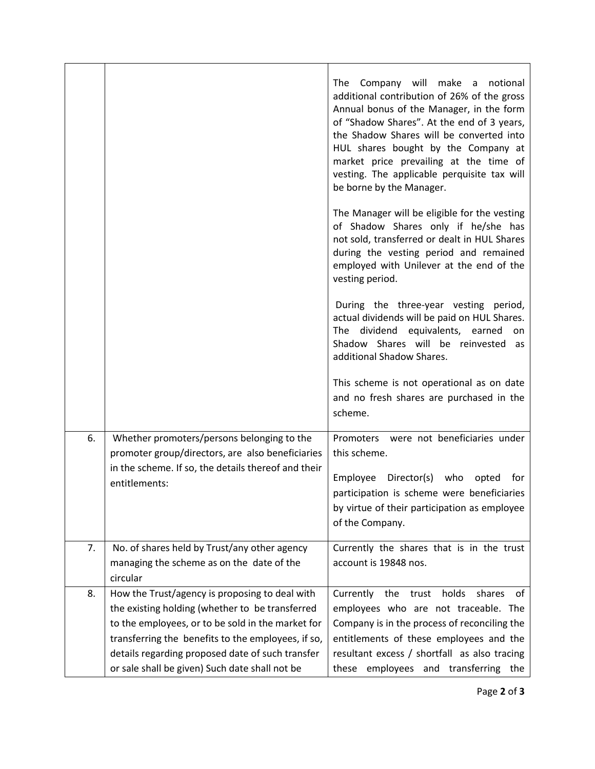|    |                                                                                                                                                                                                                                                                                                                    | Company will make<br>notional<br>The<br>$\mathsf{a}$<br>additional contribution of 26% of the gross<br>Annual bonus of the Manager, in the form<br>of "Shadow Shares". At the end of 3 years,<br>the Shadow Shares will be converted into<br>HUL shares bought by the Company at<br>market price prevailing at the time of<br>vesting. The applicable perquisite tax will<br>be borne by the Manager.<br>The Manager will be eligible for the vesting<br>of Shadow Shares only if he/she has<br>not sold, transferred or dealt in HUL Shares<br>during the vesting period and remained<br>employed with Unilever at the end of the<br>vesting period.<br>During the three-year vesting period,<br>actual dividends will be paid on HUL Shares.<br>The dividend equivalents, earned<br>on<br>Shadow Shares will be reinvested as<br>additional Shadow Shares. |
|----|--------------------------------------------------------------------------------------------------------------------------------------------------------------------------------------------------------------------------------------------------------------------------------------------------------------------|--------------------------------------------------------------------------------------------------------------------------------------------------------------------------------------------------------------------------------------------------------------------------------------------------------------------------------------------------------------------------------------------------------------------------------------------------------------------------------------------------------------------------------------------------------------------------------------------------------------------------------------------------------------------------------------------------------------------------------------------------------------------------------------------------------------------------------------------------------------|
|    |                                                                                                                                                                                                                                                                                                                    | This scheme is not operational as on date<br>and no fresh shares are purchased in the<br>scheme.                                                                                                                                                                                                                                                                                                                                                                                                                                                                                                                                                                                                                                                                                                                                                             |
| 6. | Whether promoters/persons belonging to the<br>promoter group/directors, are also beneficiaries<br>in the scheme. If so, the details thereof and their<br>entitlements:                                                                                                                                             | Promoters were not beneficiaries under<br>this scheme.<br>Employee<br>Director(s) who<br>opted<br>for<br>participation is scheme were beneficiaries<br>by virtue of their participation as employee<br>of the Company.                                                                                                                                                                                                                                                                                                                                                                                                                                                                                                                                                                                                                                       |
| 7. | No. of shares held by Trust/any other agency<br>managing the scheme as on the date of the<br>circular                                                                                                                                                                                                              | Currently the shares that is in the trust<br>account is 19848 nos.                                                                                                                                                                                                                                                                                                                                                                                                                                                                                                                                                                                                                                                                                                                                                                                           |
| 8. | How the Trust/agency is proposing to deal with<br>the existing holding (whether to be transferred<br>to the employees, or to be sold in the market for<br>transferring the benefits to the employees, if so,<br>details regarding proposed date of such transfer<br>or sale shall be given) Such date shall not be | holds<br>Currently the<br>trust<br>shares<br>of<br>employees who are not traceable. The<br>Company is in the process of reconciling the<br>entitlements of these employees and the<br>resultant excess / shortfall as also tracing<br>employees and transferring<br>these<br>the                                                                                                                                                                                                                                                                                                                                                                                                                                                                                                                                                                             |